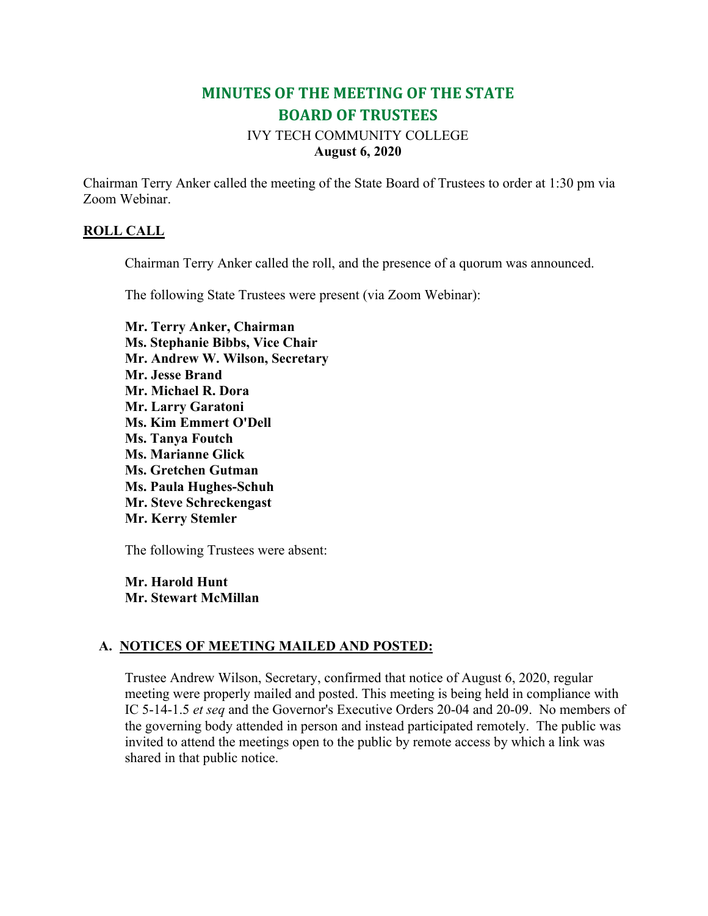# **MINUTES OF THE MEETING OF THE STATE BOARD OF TRUSTEES**

### IVY TECH COMMUNITY COLLEGE **August 6, 2020**

Chairman Terry Anker called the meeting of the State Board of Trustees to order at 1:30 pm via Zoom Webinar.

### **ROLL CALL**

Chairman Terry Anker called the roll, and the presence of a quorum was announced.

The following State Trustees were present (via Zoom Webinar):

**Mr. Terry Anker, Chairman Ms. Stephanie Bibbs, Vice Chair Mr. Andrew W. Wilson, Secretary Mr. Jesse Brand Mr. Michael R. Dora Mr. Larry Garatoni Ms. Kim Emmert O'Dell Ms. Tanya Foutch Ms. Marianne Glick Ms. Gretchen Gutman Ms. Paula Hughes-Schuh Mr. Steve Schreckengast Mr. Kerry Stemler**

The following Trustees were absent:

**Mr. Harold Hunt Mr. Stewart McMillan**

### **A. NOTICES OF MEETING MAILED AND POSTED:**

Trustee Andrew Wilson, Secretary, confirmed that notice of August 6, 2020, regular meeting were properly mailed and posted. This meeting is being held in compliance with IC 5-14-1.5 *et seq* and the Governor's Executive Orders 20-04 and 20-09. No members of the governing body attended in person and instead participated remotely. The public was invited to attend the meetings open to the public by remote access by which a link was shared in that public notice.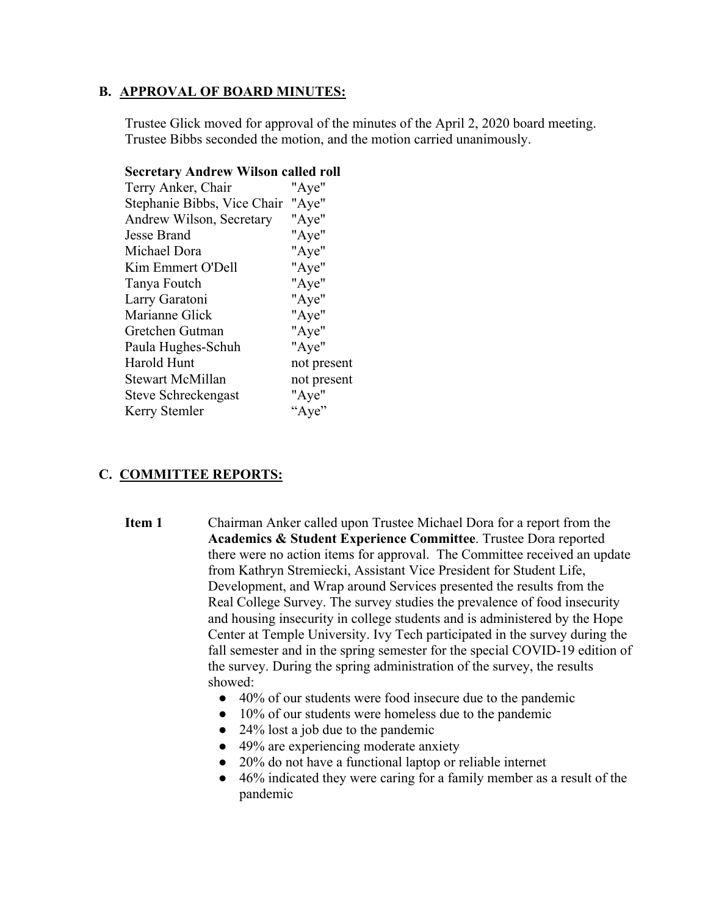#### **B. APPROVAL OF BOARD MINUTES:**

Trustee Glick moved for approval of the minutes of the April 2, 2020 board meeting. Trustee Bibbs seconded the motion, and the motion carried unanimously.

| seer etar y txii ur ew "wiison" cancul rom |             |
|--------------------------------------------|-------------|
| Terry Anker, Chair                         | "Aye"       |
| Stephanie Bibbs, Vice Chair "Aye"          |             |
| Andrew Wilson, Secretary                   | "Aye"       |
| Jesse Brand                                | "Aye"       |
| Michael Dora                               | "Aye"       |
| Kim Emmert O'Dell                          | "Aye"       |
| Tanya Foutch                               | "Aye"       |
| Larry Garatoni                             | "Aye"       |
| Marianne Glick                             | "Aye"       |
| Gretchen Gutman                            | "Aye"       |
| Paula Hughes-Schuh                         | "Aye"       |
| Harold Hunt                                | not present |
| Stewart McMillan                           | not present |
| Steve Schreckengast                        | "Aye"       |
| Kerry Stemler                              | "Aye"       |
|                                            |             |

# **Secretary Andrew Wilson called roll**

### **C. COMMITTEE REPORTS:**

- **Item 1** Chairman Anker called upon Trustee Michael Dora for a report from the **Academics & Student Experience Committee**. Trustee Dora reported there were no action items for approval. The Committee received an update from Kathryn Stremiecki, Assistant Vice President for Student Life, Development, and Wrap around Services presented the results from the Real College Survey. The survey studies the prevalence of food insecurity and housing insecurity in college students and is administered by the Hope Center at Temple University. Ivy Tech participated in the survey during the fall semester and in the spring semester for the special COVID-19 edition of the survey. During the spring administration of the survey, the results showed:
	- 40% of our students were food insecure due to the pandemic
	- 10% of our students were homeless due to the pandemic
	- 24% lost a job due to the pandemic
	- 49% are experiencing moderate anxiety
	- 20% do not have a functional laptop or reliable internet
	- 46% indicated they were caring for a family member as a result of the pandemic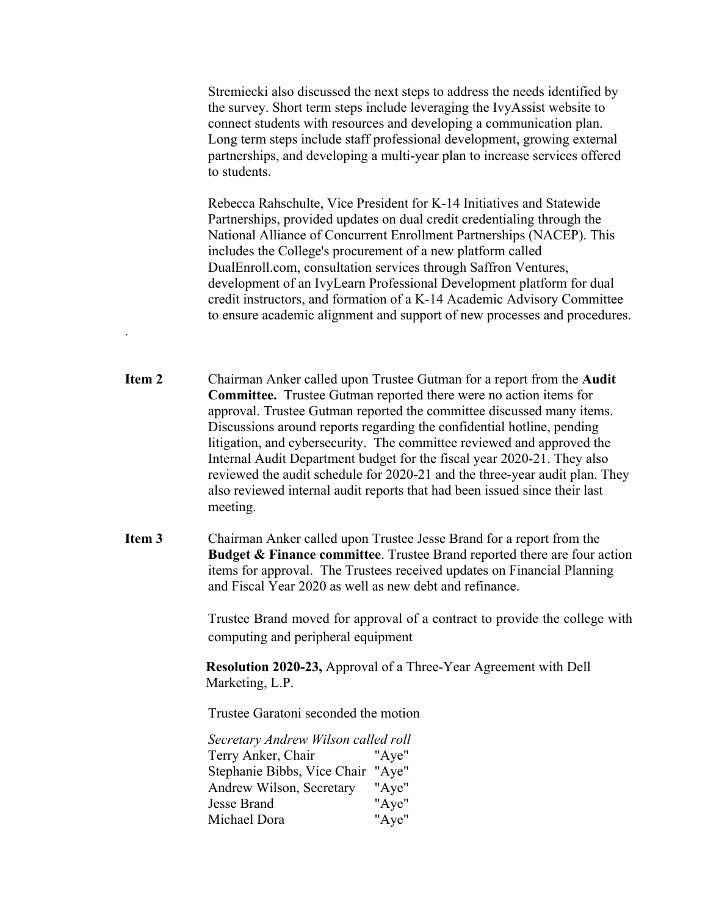Stremiecki also discussed the next steps to address the needs identified by the survey. Short term steps include leveraging the IvyAssist website to connect students with resources and developing a communication plan. Long term steps include staff professional development, growing external partnerships, and developing a multi-year plan to increase services offered to students.

Rebecca Rahschulte, Vice President for K-14 Initiatives and Statewide Partnerships, provided updates on dual credit credentialing through the National Alliance of Concurrent Enrollment Partnerships (NACEP). This includes the College's procurement of a new platform called DualEnroll.com, consultation services through Saffron Ventures, development of an IvyLearn Professional Development platform for dual credit instructors, and formation of a K-14 Academic Advisory Committee to ensure academic alignment and support of new processes and procedures.

- **Item 2** Chairman Anker called upon Trustee Gutman for a report from the **Audit Committee.** Trustee Gutman reported there were no action items for approval. Trustee Gutman reported the committee discussed many items. Discussions around reports regarding the confidential hotline, pending litigation, and cybersecurity. The committee reviewed and approved the Internal Audit Department budget for the fiscal year 2020-21. They also reviewed the audit schedule for 2020-21 and the three-year audit plan. They also reviewed internal audit reports that had been issued since their last meeting.
- **Item 3** Chairman Anker called upon Trustee Jesse Brand for a report from the **Budget & Finance committee**. Trustee Brand reported there are four action items for approval. The Trustees received updates on Financial Planning and Fiscal Year 2020 as well as new debt and refinance.

Trustee Brand moved for approval of a contract to provide the college with computing and peripheral equipment

**Resolution 2020-23,** Approval of a Three-Year Agreement with Dell Marketing, L.P.

Trustee Garatoni seconded the motion

.

*Secretary Andrew Wilson called roll* Terry Anker, Chair "Aye" Stephanie Bibbs, Vice Chair "Aye" Andrew Wilson, Secretary "Aye" Jesse Brand "Aye" Michael Dora "Aye"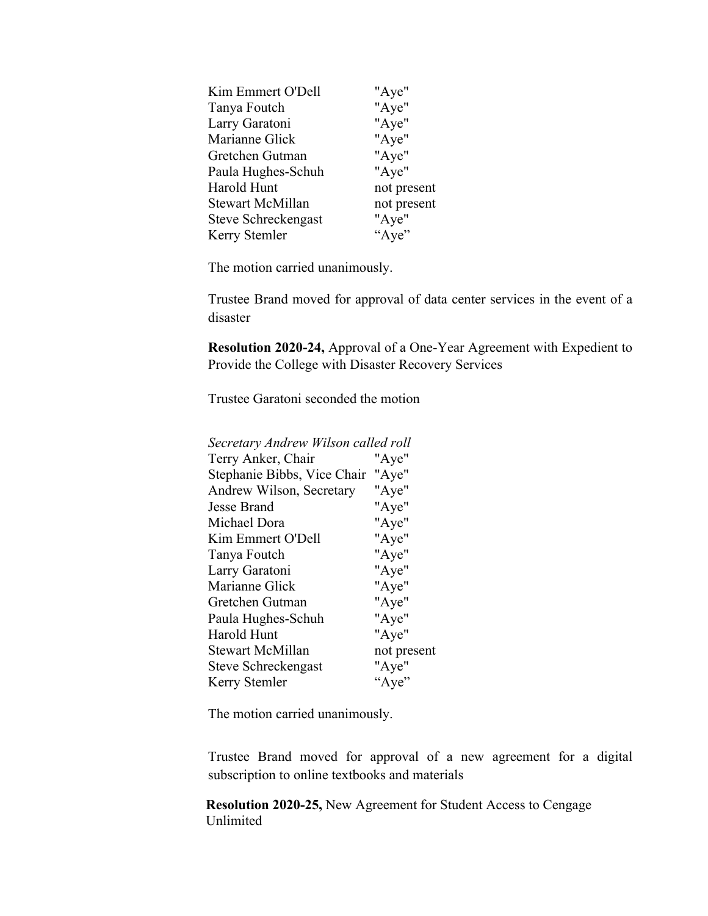| Kim Emmert O'Dell   | "Aye"       |
|---------------------|-------------|
| Tanya Foutch        | "Aye"       |
| Larry Garatoni      | "Aye"       |
| Marianne Glick      | "Aye"       |
| Gretchen Gutman     | "Aye"       |
| Paula Hughes-Schuh  | "Aye"       |
| Harold Hunt         | not present |
| Stewart McMillan    | not present |
| Steve Schreckengast | "Aye"       |
| Kerry Stemler       | "Aye"       |
|                     |             |

The motion carried unanimously.

Trustee Brand moved for approval of data center services in the event of a disaster

**Resolution 2020-24,** Approval of a One-Year Agreement with Expedient to Provide the College with Disaster Recovery Services

Trustee Garatoni seconded the motion

| Secretary Andrew Wilson called roll |             |
|-------------------------------------|-------------|
| Terry Anker, Chair                  | "Aye"       |
| Stephanie Bibbs, Vice Chair         | "Aye"       |
| Andrew Wilson, Secretary            | "Aye"       |
| Jesse Brand                         | "Aye"       |
| Michael Dora                        | "Aye"       |
| Kim Emmert O'Dell                   | "Aye"       |
| Tanya Foutch                        | "Aye"       |
| Larry Garatoni                      | "Aye"       |
| Marianne Glick                      | "Aye"       |
| Gretchen Gutman                     | "Aye"       |
| Paula Hughes-Schuh                  | "Aye"       |
| Harold Hunt                         | "Aye"       |
| <b>Stewart McMillan</b>             | not present |
| Steve Schreckengast                 | "Aye"       |
| Kerry Stemler                       | "Aye"       |

The motion carried unanimously.

Trustee Brand moved for approval of a new agreement for a digital subscription to online textbooks and materials

**Resolution 2020-25,** New Agreement for Student Access to Cengage Unlimited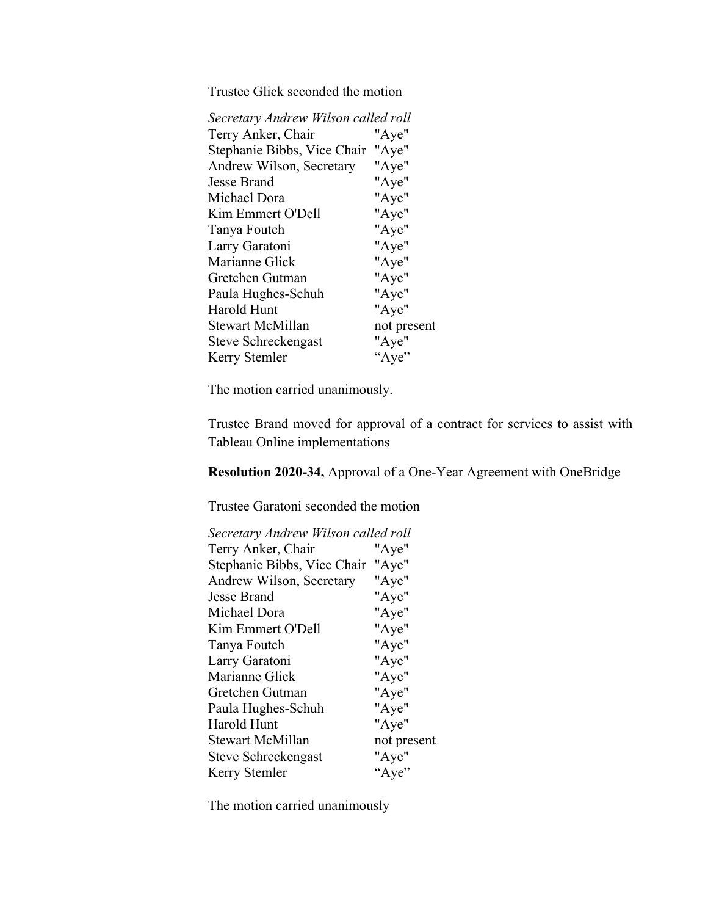Trustee Glick seconded the motion

| Secretary Andrew Wilson called roll |
|-------------------------------------|
| "Aye"                               |
| "Aye"                               |
| "Aye"                               |
| "Aye"                               |
| "Aye"                               |
| "Aye"                               |
| "Aye"                               |
| "Aye"                               |
| "Aye"                               |
| "Aye"                               |
| "Aye"                               |
| "Aye"                               |
| not present                         |
| "Aye"                               |
| "Aye"                               |
|                                     |

The motion carried unanimously.

Trustee Brand moved for approval of a contract for services to assist with Tableau Online implementations

**Resolution 2020-34,** Approval of a One-Year Agreement with OneBridge

Trustee Garatoni seconded the motion

| Secretary Andrew Wilson called roll  |
|--------------------------------------|
| "Aye"                                |
| Stephanie Bibbs, Vice Chair<br>"Aye" |
| "Aye"                                |
| "Aye"                                |
| "Aye"                                |
| "Aye"                                |
| "Aye"                                |
| "Aye"                                |
| "Aye"                                |
| "Aye"                                |
| "Aye"                                |
| "Aye"                                |
| not present                          |
| "Aye"                                |
| "Aye"                                |
|                                      |

The motion carried unanimously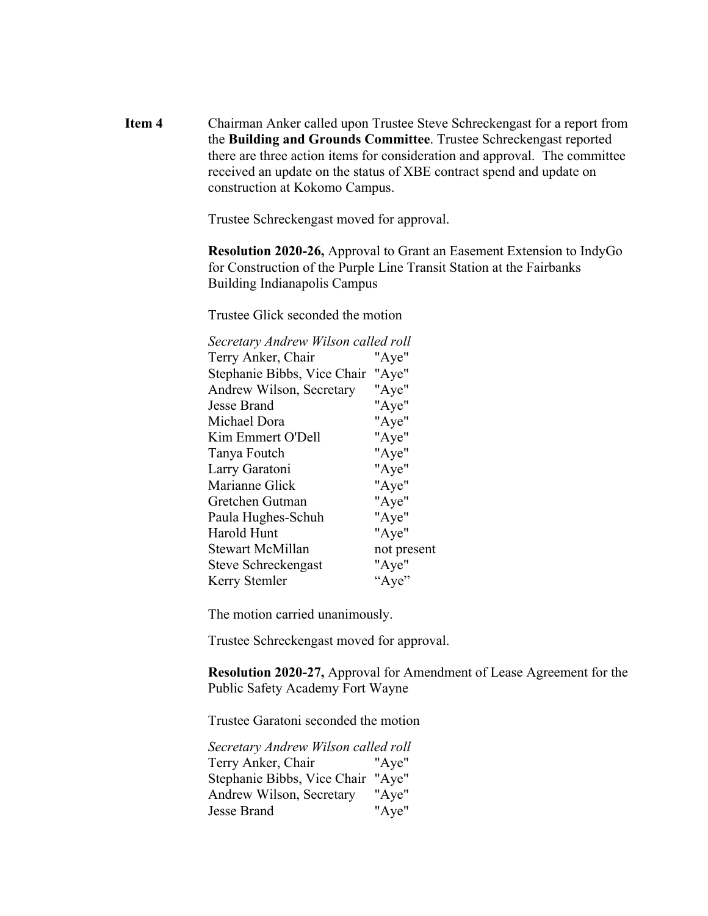**Item 4** Chairman Anker called upon Trustee Steve Schreckengast for a report from the **Building and Grounds Committee**. Trustee Schreckengast reported there are three action items for consideration and approval. The committee received an update on the status of XBE contract spend and update on construction at Kokomo Campus.

Trustee Schreckengast moved for approval.

**Resolution 2020-26,** Approval to Grant an Easement Extension to IndyGo for Construction of the Purple Line Transit Station at the Fairbanks Building Indianapolis Campus

Trustee Glick seconded the motion

| Secretary Andrew Wilson called roll |             |
|-------------------------------------|-------------|
| Terry Anker, Chair                  | "Aye"       |
| Stephanie Bibbs, Vice Chair         | "Aye"       |
| Andrew Wilson, Secretary            | "Aye"       |
| Jesse Brand                         | "Aye"       |
| Michael Dora                        | "Aye"       |
| Kim Emmert O'Dell                   | "Aye"       |
| Tanya Foutch                        | "Aye"       |
| Larry Garatoni                      | "Aye"       |
| Marianne Glick                      | "Aye"       |
| Gretchen Gutman                     | "Aye"       |
| Paula Hughes-Schuh                  | "Aye"       |
| Harold Hunt                         | "Aye"       |
| <b>Stewart McMillan</b>             | not present |
| Steve Schreckengast                 | "Aye"       |
| Kerry Stemler                       | "Aye"       |

The motion carried unanimously.

Trustee Schreckengast moved for approval.

**Resolution 2020-27,** Approval for Amendment of Lease Agreement for the Public Safety Academy Fort Wayne

Trustee Garatoni seconded the motion

*Secretary Andrew Wilson called roll* Terry Anker, Chair "Aye" Stephanie Bibbs, Vice Chair "Aye" Andrew Wilson, Secretary "Aye" Jesse Brand "Aye"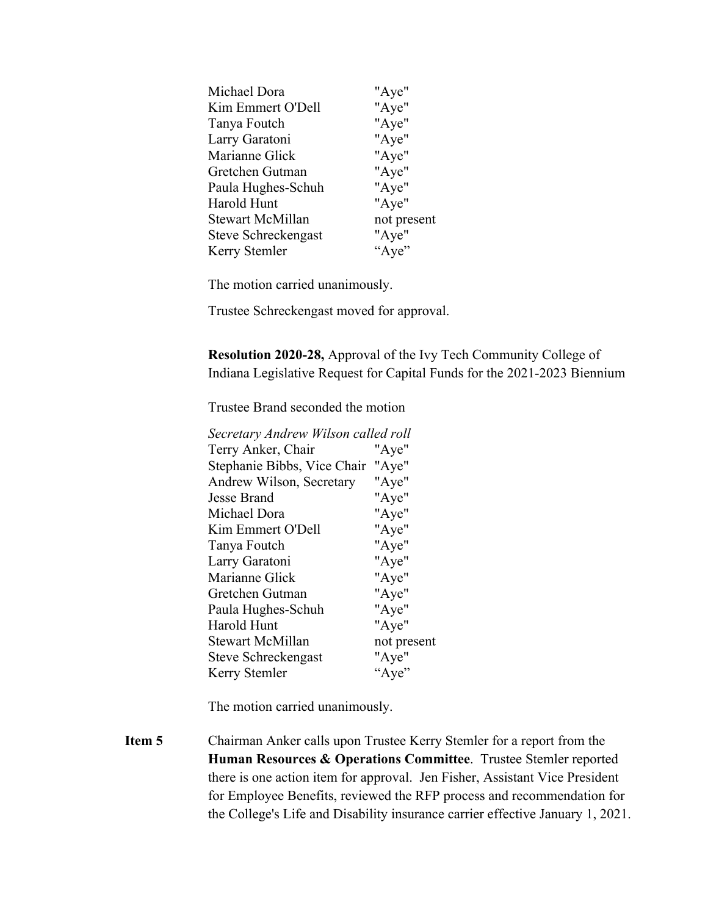| "Aye"<br>"Aye" |
|----------------|
|                |
|                |
| "Aye"          |
| "Aye"          |
| "Aye"          |
| "Aye"          |
| "Aye"          |
| not present    |
| "Aye"          |
| "Aye"          |
|                |

The motion carried unanimously.

Trustee Schreckengast moved for approval.

**Resolution 2020-28,** Approval of the Ivy Tech Community College of Indiana Legislative Request for Capital Funds for the 2021-2023 Biennium

Trustee Brand seconded the motion

| Secretary Andrew Wilson called roll  |
|--------------------------------------|
| "Aye"                                |
| Stephanie Bibbs, Vice Chair<br>"Aye" |
| "Aye"                                |
| "Aye"                                |
| "Aye"                                |
| "Aye"                                |
| "Aye"                                |
| "Aye"                                |
| "Aye"                                |
| "Aye"                                |
| "Aye"                                |
| "Aye"                                |
| not present                          |
| "Aye"                                |
| "Aye"                                |
|                                      |

The motion carried unanimously.

**Item 5** Chairman Anker calls upon Trustee Kerry Stemler for a report from the **Human Resources & Operations Committee**. Trustee Stemler reported there is one action item for approval. Jen Fisher, Assistant Vice President for Employee Benefits, reviewed the RFP process and recommendation for the College's Life and Disability insurance carrier effective January 1, 2021.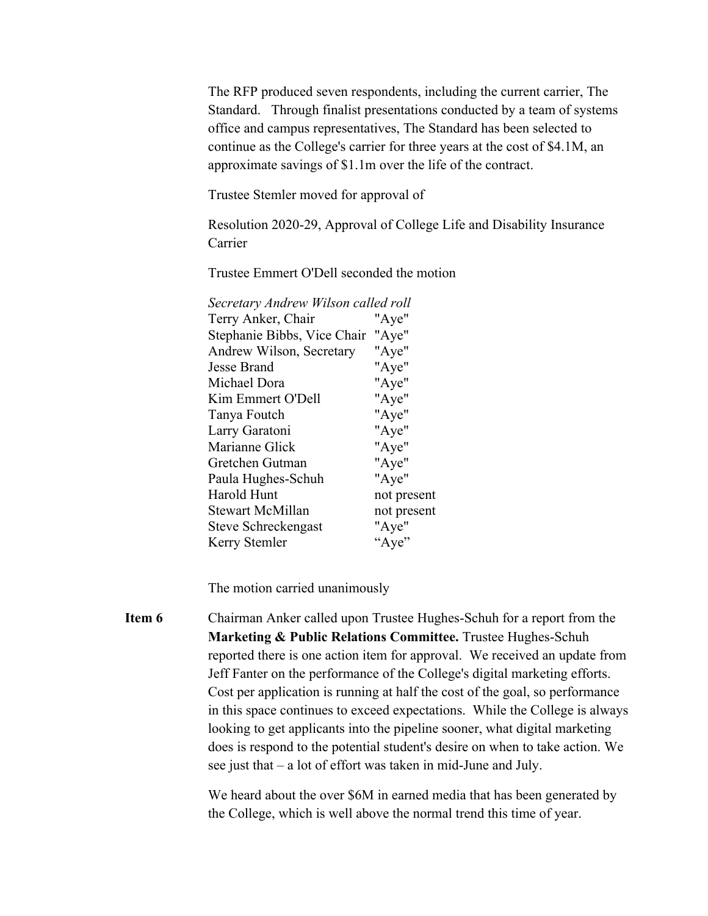The RFP produced seven respondents, including the current carrier, The Standard. Through finalist presentations conducted by a team of systems office and campus representatives, The Standard has been selected to continue as the College's carrier for three years at the cost of \$4.1M, an approximate savings of \$1.1m over the life of the contract.

Trustee Stemler moved for approval of

Resolution 2020-29, Approval of College Life and Disability Insurance Carrier

Trustee Emmert O'Dell seconded the motion

| Secretary Andrew Wilson called roll |             |
|-------------------------------------|-------------|
| Terry Anker, Chair                  | "Aye"       |
| Stephanie Bibbs, Vice Chair         | "Aye"       |
| Andrew Wilson, Secretary            | "Aye"       |
| <b>Jesse Brand</b>                  | "Aye"       |
| Michael Dora                        | "Aye"       |
| Kim Emmert O'Dell                   | "Aye"       |
| Tanya Foutch                        | "Aye"       |
| Larry Garatoni                      | "Aye"       |
| Marianne Glick                      | "Aye"       |
| Gretchen Gutman                     | "Aye"       |
| Paula Hughes-Schuh                  | "Aye"       |
| Harold Hunt                         | not present |
| <b>Stewart McMillan</b>             | not present |
| Steve Schreckengast                 | "Aye"       |
| Kerry Stemler                       | "Aye"       |
|                                     |             |

The motion carried unanimously

**Item 6** Chairman Anker called upon Trustee Hughes-Schuh for a report from the **Marketing & Public Relations Committee.** Trustee Hughes-Schuh reported there is one action item for approval. We received an update from Jeff Fanter on the performance of the College's digital marketing efforts. Cost per application is running at half the cost of the goal, so performance in this space continues to exceed expectations. While the College is always looking to get applicants into the pipeline sooner, what digital marketing does is respond to the potential student's desire on when to take action. We see just that – a lot of effort was taken in mid-June and July.

> We heard about the over \$6M in earned media that has been generated by the College, which is well above the normal trend this time of year.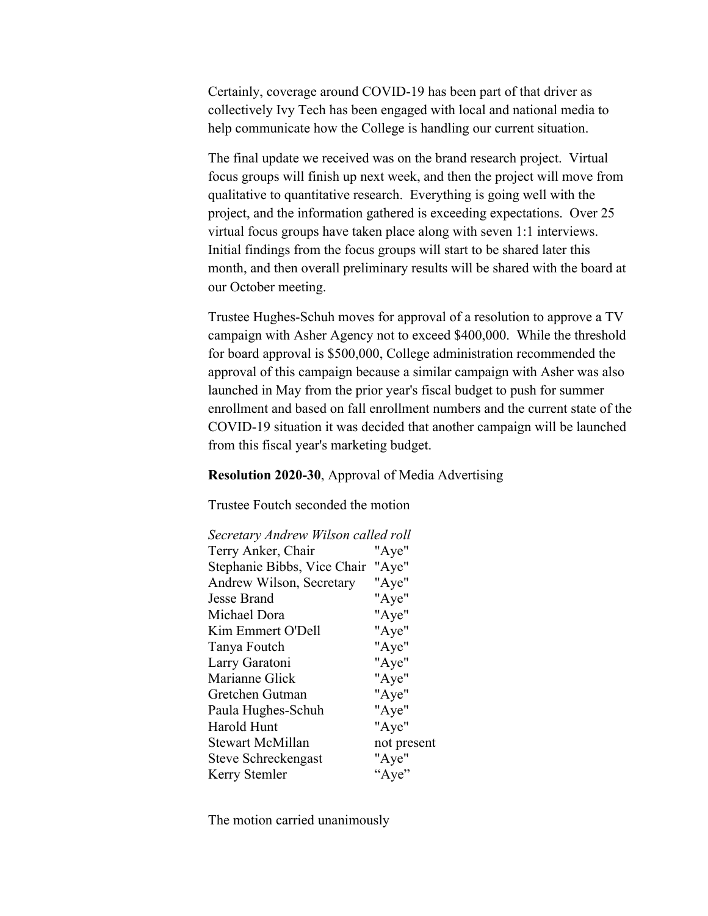Certainly, coverage around COVID-19 has been part of that driver as collectively Ivy Tech has been engaged with local and national media to help communicate how the College is handling our current situation.

The final update we received was on the brand research project. Virtual focus groups will finish up next week, and then the project will move from qualitative to quantitative research. Everything is going well with the project, and the information gathered is exceeding expectations. Over 25 virtual focus groups have taken place along with seven 1:1 interviews. Initial findings from the focus groups will start to be shared later this month, and then overall preliminary results will be shared with the board at our October meeting.

Trustee Hughes-Schuh moves for approval of a resolution to approve a TV campaign with Asher Agency not to exceed \$400,000. While the threshold for board approval is \$500,000, College administration recommended the approval of this campaign because a similar campaign with Asher was also launched in May from the prior year's fiscal budget to push for summer enrollment and based on fall enrollment numbers and the current state of the COVID-19 situation it was decided that another campaign will be launched from this fiscal year's marketing budget.

**Resolution 2020-30**, Approval of Media Advertising

Trustee Foutch seconded the motion

| Secretary Andrew Wilson called roll |             |
|-------------------------------------|-------------|
| Terry Anker, Chair                  | "Aye"       |
| Stephanie Bibbs, Vice Chair "Aye"   |             |
| Andrew Wilson, Secretary            | "Aye"       |
| Jesse Brand                         | "Aye"       |
| Michael Dora                        | "Aye"       |
| Kim Emmert O'Dell                   | "Aye"       |
| Tanya Foutch                        | "Aye"       |
| Larry Garatoni                      | "Aye"       |
| Marianne Glick                      | "Aye"       |
| Gretchen Gutman                     | "Aye"       |
| Paula Hughes-Schuh                  | "Aye"       |
| Harold Hunt                         | "Aye"       |
| Stewart McMillan                    | not present |
| Steve Schreckengast                 | "Aye"       |
| Kerry Stemler                       | "Aye"       |

The motion carried unanimously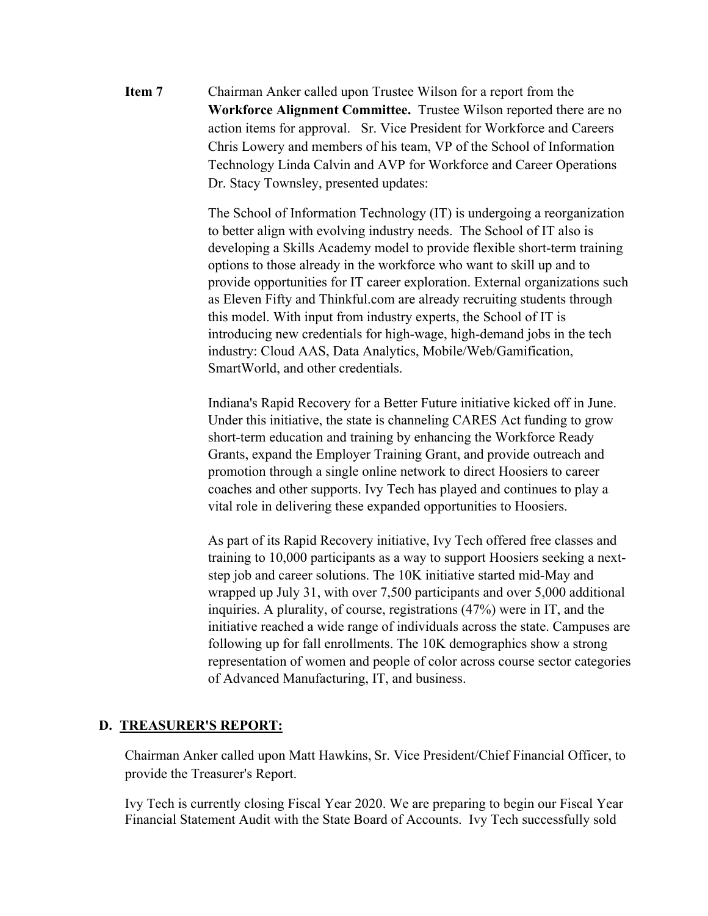**Item 7** Chairman Anker called upon Trustee Wilson for a report from the **Workforce Alignment Committee.** Trustee Wilson reported there are no action items for approval. Sr. Vice President for Workforce and Careers Chris Lowery and members of his team, VP of the School of Information Technology Linda Calvin and AVP for Workforce and Career Operations Dr. Stacy Townsley, presented updates:

> The School of Information Technology (IT) is undergoing a reorganization to better align with evolving industry needs. The School of IT also is developing a Skills Academy model to provide flexible short-term training options to those already in the workforce who want to skill up and to provide opportunities for IT career exploration. External organizations such as Eleven Fifty and Thinkful.com are already recruiting students through this model. With input from industry experts, the School of IT is introducing new credentials for high-wage, high-demand jobs in the tech industry: Cloud AAS, Data Analytics, Mobile/Web/Gamification, SmartWorld, and other credentials.

Indiana's Rapid Recovery for a Better Future initiative kicked off in June. Under this initiative, the state is channeling CARES Act funding to grow short-term education and training by enhancing the Workforce Ready Grants, expand the Employer Training Grant, and provide outreach and promotion through a single online network to direct Hoosiers to career coaches and other supports. Ivy Tech has played and continues to play a vital role in delivering these expanded opportunities to Hoosiers.

As part of its Rapid Recovery initiative, Ivy Tech offered free classes and training to 10,000 participants as a way to support Hoosiers seeking a nextstep job and career solutions. The 10K initiative started mid-May and wrapped up July 31, with over 7,500 participants and over 5,000 additional inquiries. A plurality, of course, registrations (47%) were in IT, and the initiative reached a wide range of individuals across the state. Campuses are following up for fall enrollments. The 10K demographics show a strong representation of women and people of color across course sector categories of Advanced Manufacturing, IT, and business.

#### **D. TREASURER'S REPORT:**

Chairman Anker called upon Matt Hawkins, Sr. Vice President/Chief Financial Officer, to provide the Treasurer's Report.

Ivy Tech is currently closing Fiscal Year 2020. We are preparing to begin our Fiscal Year Financial Statement Audit with the State Board of Accounts. Ivy Tech successfully sold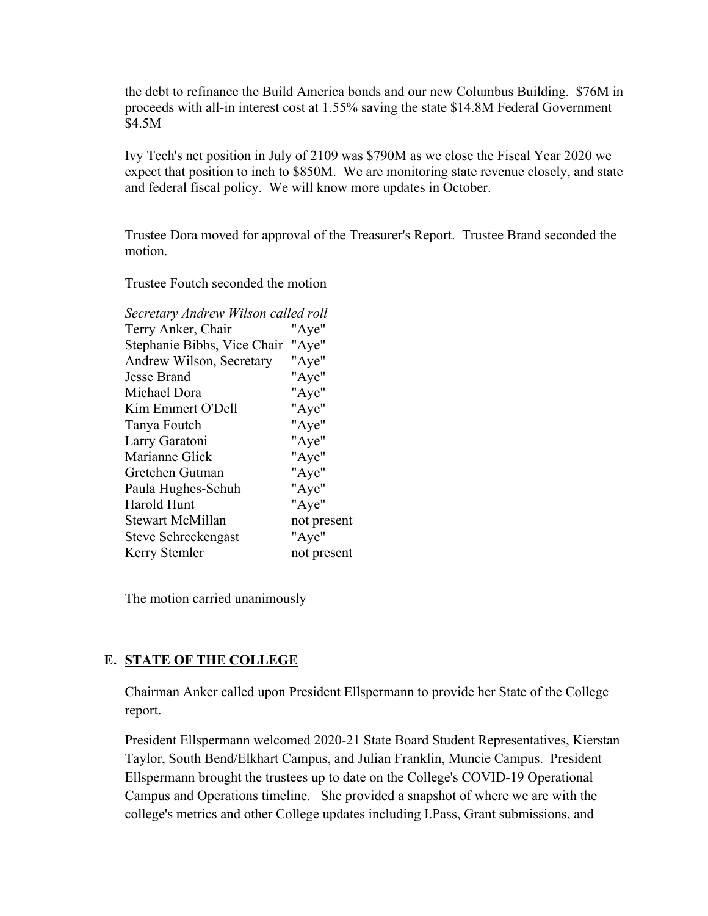the debt to refinance the Build America bonds and our new Columbus Building. \$76M in proceeds with all-in interest cost at 1.55% saving the state \$14.8M Federal Government \$4.5M

Ivy Tech's net position in July of 2109 was \$790M as we close the Fiscal Year 2020 we expect that position to inch to \$850M. We are monitoring state revenue closely, and state and federal fiscal policy. We will know more updates in October.

Trustee Dora moved for approval of the Treasurer's Report. Trustee Brand seconded the motion.

Trustee Foutch seconded the motion

| Secretary Andrew Wilson called roll  |
|--------------------------------------|
| "Aye"                                |
| Stephanie Bibbs, Vice Chair<br>"Aye" |
| "Aye"                                |
| "Aye"                                |
| "Aye"                                |
| "Aye"                                |
| "Aye"                                |
| "Aye"                                |
| "Aye"                                |
| "Aye"                                |
| "Aye"                                |
| "Aye"                                |
| not present                          |
| "Aye"                                |
| not present                          |
|                                      |

The motion carried unanimously

### **E. STATE OF THE COLLEGE**

Chairman Anker called upon President Ellspermann to provide her State of the College report.

President Ellspermann welcomed 2020-21 State Board Student Representatives, Kierstan Taylor, South Bend/Elkhart Campus, and Julian Franklin, Muncie Campus. President Ellspermann brought the trustees up to date on the College's COVID-19 Operational Campus and Operations timeline. She provided a snapshot of where we are with the college's metrics and other College updates including I.Pass, Grant submissions, and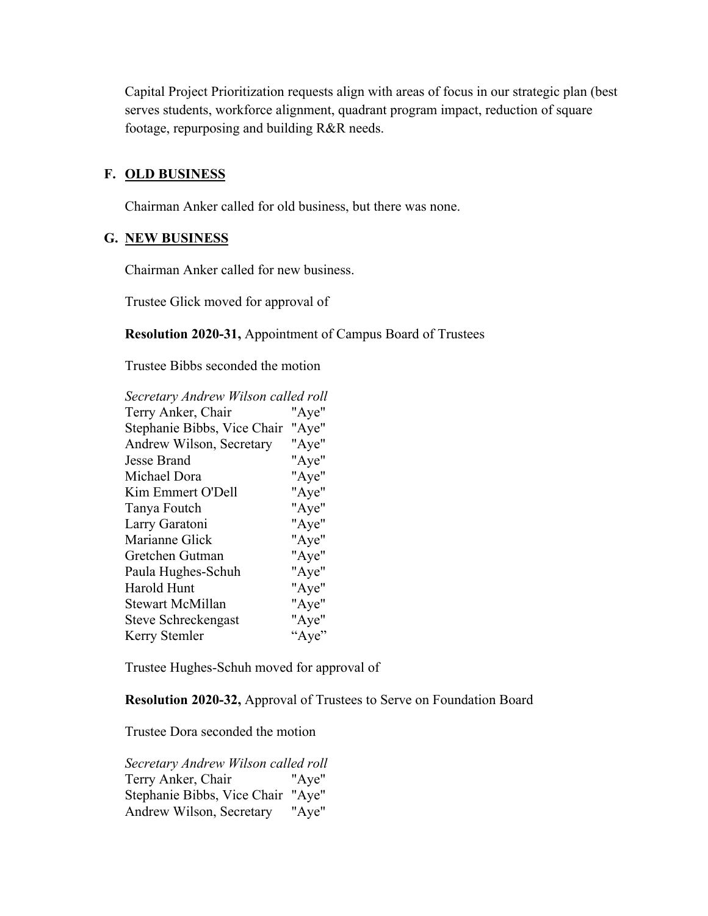Capital Project Prioritization requests align with areas of focus in our strategic plan (best serves students, workforce alignment, quadrant program impact, reduction of square footage, repurposing and building R&R needs.

### **F. OLD BUSINESS**

Chairman Anker called for old business, but there was none.

#### **G. NEW BUSINESS**

Chairman Anker called for new business.

Trustee Glick moved for approval of

**Resolution 2020-31,** Appointment of Campus Board of Trustees

Trustee Bibbs seconded the motion

| Secretary Andrew Wilson called roll |       |
|-------------------------------------|-------|
| Terry Anker, Chair                  | "Aye" |
| Stephanie Bibbs, Vice Chair         | "Aye" |
| Andrew Wilson, Secretary            | "Aye" |
| <b>Jesse Brand</b>                  | "Aye" |
| Michael Dora                        | "Aye" |
| Kim Emmert O'Dell                   | "Aye" |
| Tanya Foutch                        | "Aye" |
| Larry Garatoni                      | "Aye" |
| Marianne Glick                      | "Aye" |
| Gretchen Gutman                     | "Aye" |
| Paula Hughes-Schuh                  | "Aye" |
| <b>Harold Hunt</b>                  | "Aye" |
| <b>Stewart McMillan</b>             | "Aye" |
| Steve Schreckengast                 | "Aye" |
| Kerry Stemler                       | "Aye" |

Trustee Hughes-Schuh moved for approval of

**Resolution 2020-32,** Approval of Trustees to Serve on Foundation Board

Trustee Dora seconded the motion

*Secretary Andrew Wilson called roll* Terry Anker, Chair "Aye" Stephanie Bibbs, Vice Chair "Aye" Andrew Wilson, Secretary "Aye"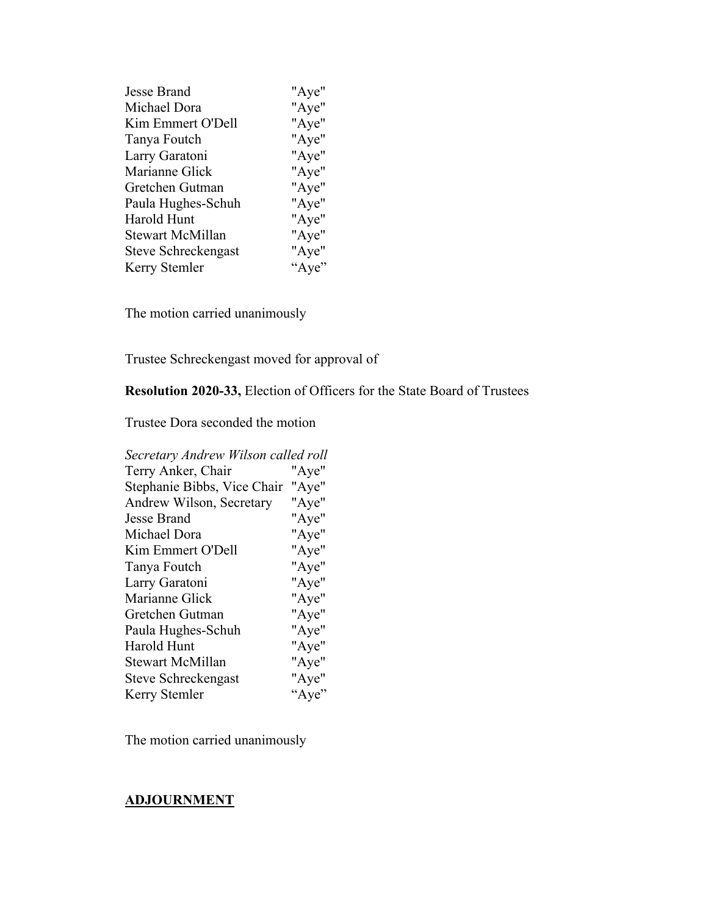| Jesse Brand             | "Aye" |
|-------------------------|-------|
| Michael Dora            | "Aye" |
| Kim Emmert O'Dell       | "Aye" |
| Tanya Foutch            | "Aye" |
| Larry Garatoni          | "Aye" |
| Marianne Glick          | "Aye" |
| Gretchen Gutman         | "Aye" |
| Paula Hughes-Schuh      | "Aye" |
| Harold Hunt             | "Aye" |
| <b>Stewart McMillan</b> | "Aye" |
| Steve Schreckengast     | "Aye" |
| Kerry Stemler           | "Aye" |

The motion carried unanimously

Trustee Schreckengast moved for approval of

# **Resolution 2020-33,** Election of Officers for the State Board of Trustees

Trustee Dora seconded the motion

| Secretary Andrew Wilson called roll |       |  |
|-------------------------------------|-------|--|
| Terry Anker, Chair                  | "Aye" |  |
| Stephanie Bibbs, Vice Chair         | "Aye" |  |
| Andrew Wilson, Secretary            | "Aye" |  |
| <b>Jesse Brand</b>                  | "Aye" |  |
| Michael Dora                        | "Aye" |  |
| Kim Emmert O'Dell                   | "Aye" |  |
| Tanya Foutch                        | "Aye" |  |
| Larry Garatoni                      | "Aye" |  |
| Marianne Glick                      | "Aye" |  |
| Gretchen Gutman                     | "Aye" |  |
| Paula Hughes-Schuh                  | "Aye" |  |
| <b>Harold Hunt</b>                  | "Aye" |  |
| <b>Stewart McMillan</b>             | "Aye" |  |
| Steve Schreckengast                 | "Aye" |  |
| Kerry Stemler                       | "Aye" |  |

The motion carried unanimously

# **ADJOURNMENT**